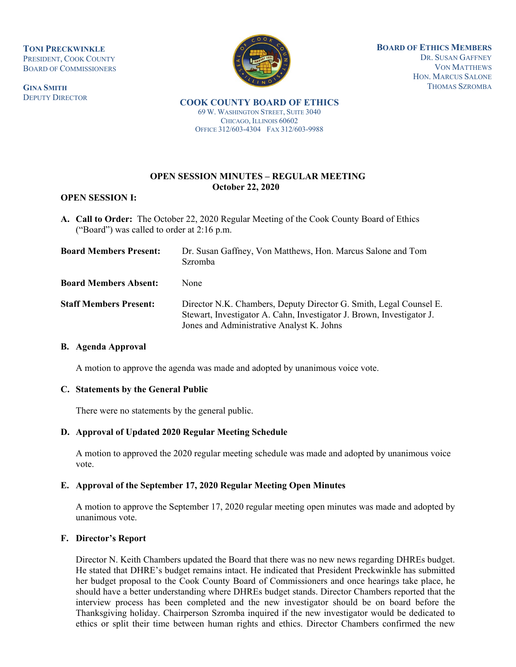**TONI PRECKWINKLE** PRESIDENT, COOK COUNTY BOARD OF COMMISSIONERS

**GINA SMITH** DEPUTY DIRECTOR



**BOARD OF ETHICS MEMBERS** DR. SUSAN GAFFNEY VON MATTHEWS HON. MARCUS SALONE THOMAS SZROMBA

**COOK COUNTY BOARD OF ETHICS**  69 W. WASHINGTON STREET, SUITE 3040 CHICAGO, ILLINOIS 60602 OFFICE 312/603-4304 FAX 312/603-9988

# **OPEN SESSION MINUTES – REGULAR MEETING October 22, 2020**

## **OPEN SESSION I:**

**A. Call to Order:** The October 22, 2020 Regular Meeting of the Cook County Board of Ethics ("Board") was called to order at 2:16 p.m.

| <b>Board Members Present:</b> | Dr. Susan Gaffney, Von Matthews, Hon. Marcus Salone and Tom<br><b>Szromba</b>                                                                                                            |
|-------------------------------|------------------------------------------------------------------------------------------------------------------------------------------------------------------------------------------|
| <b>Board Members Absent:</b>  | None                                                                                                                                                                                     |
| <b>Staff Members Present:</b> | Director N.K. Chambers, Deputy Director G. Smith, Legal Counsel E.<br>Stewart, Investigator A. Cahn, Investigator J. Brown, Investigator J.<br>Jones and Administrative Analyst K. Johns |

## **B. Agenda Approval**

A motion to approve the agenda was made and adopted by unanimous voice vote.

## **C. Statements by the General Public**

There were no statements by the general public.

## **D. Approval of Updated 2020 Regular Meeting Schedule**

A motion to approved the 2020 regular meeting schedule was made and adopted by unanimous voice vote.

## **E. Approval of the September 17, 2020 Regular Meeting Open Minutes**

A motion to approve the September 17, 2020 regular meeting open minutes was made and adopted by unanimous vote.

## **F. Director's Report**

Director N. Keith Chambers updated the Board that there was no new news regarding DHREs budget. He stated that DHRE's budget remains intact. He indicated that President Preckwinkle has submitted her budget proposal to the Cook County Board of Commissioners and once hearings take place, he should have a better understanding where DHREs budget stands. Director Chambers reported that the interview process has been completed and the new investigator should be on board before the Thanksgiving holiday. Chairperson Szromba inquired if the new investigator would be dedicated to ethics or split their time between human rights and ethics. Director Chambers confirmed the new